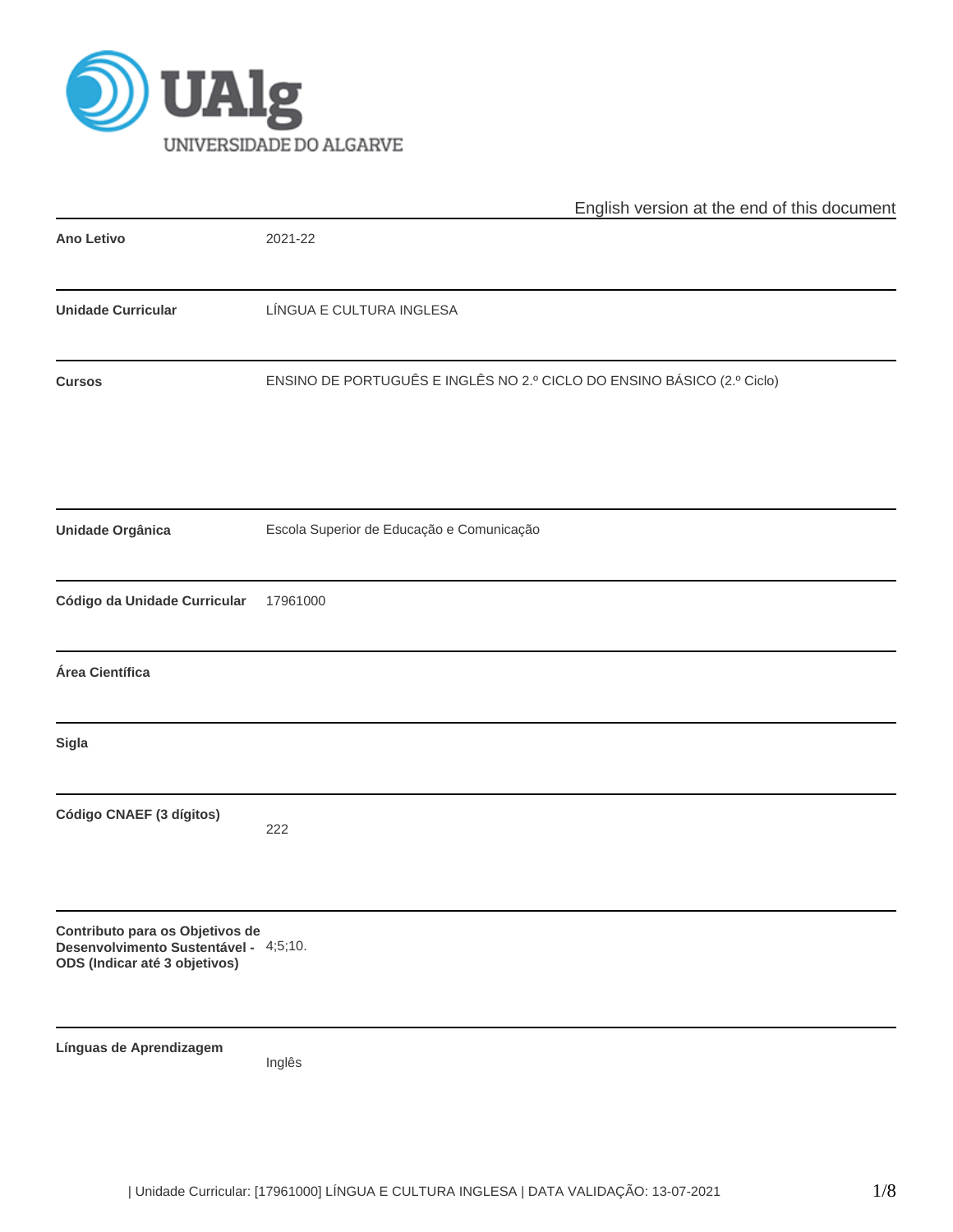

|                                                                                                           | English version at the end of this document                            |  |  |  |  |  |
|-----------------------------------------------------------------------------------------------------------|------------------------------------------------------------------------|--|--|--|--|--|
| <b>Ano Letivo</b>                                                                                         | 2021-22                                                                |  |  |  |  |  |
| <b>Unidade Curricular</b>                                                                                 | LÍNGUA E CULTURA INGLESA                                               |  |  |  |  |  |
| <b>Cursos</b>                                                                                             | ENSINO DE PORTUGUÊS E INGLÊS NO 2.º CICLO DO ENSINO BÁSICO (2.º Ciclo) |  |  |  |  |  |
| Unidade Orgânica                                                                                          | Escola Superior de Educação e Comunicação                              |  |  |  |  |  |
| Código da Unidade Curricular                                                                              | 17961000                                                               |  |  |  |  |  |
| Área Científica                                                                                           |                                                                        |  |  |  |  |  |
| <b>Sigla</b>                                                                                              |                                                                        |  |  |  |  |  |
| Código CNAEF (3 dígitos)                                                                                  | 222                                                                    |  |  |  |  |  |
| Contributo para os Objetivos de<br>Desenvolvimento Sustentável - 4;5;10.<br>ODS (Indicar até 3 objetivos) |                                                                        |  |  |  |  |  |
| Línguas de Aprendizagem                                                                                   | Inglês                                                                 |  |  |  |  |  |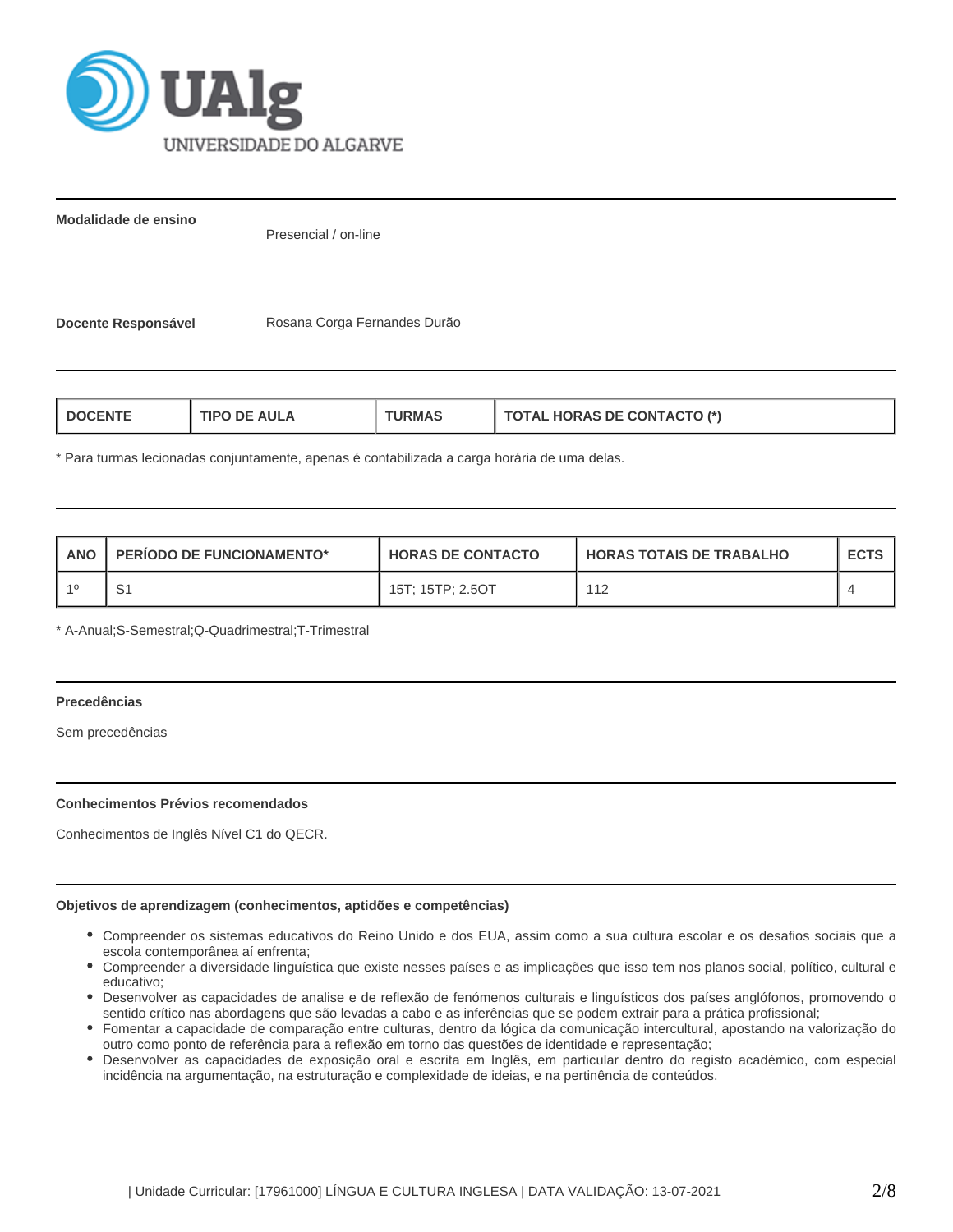

**Modalidade de ensino**

Presencial / on-line

Docente Responsável **Rosana Corga Fernandes Durão** 

| <b>HORAS DE CONTACTO (*)</b><br><b>AULA</b><br><b>I DOCENT</b><br>1PO<br>ਾ?MA<br>71AL |
|---------------------------------------------------------------------------------------|
|---------------------------------------------------------------------------------------|

\* Para turmas lecionadas conjuntamente, apenas é contabilizada a carga horária de uma delas.

| <b>ANO</b> | <b>PERIODO DE FUNCIONAMENTO*</b> | <b>HORAS DE CONTACTO</b> | I HORAS TOTAIS DE TRABALHO | <b>ECTS</b> |
|------------|----------------------------------|--------------------------|----------------------------|-------------|
|            | ت                                | 15T: 15TP: 2.5OT         | 112                        |             |

\* A-Anual;S-Semestral;Q-Quadrimestral;T-Trimestral

# **Precedências**

Sem precedências

# **Conhecimentos Prévios recomendados**

Conhecimentos de Inglês Nível C1 do QECR.

### **Objetivos de aprendizagem (conhecimentos, aptidões e competências)**

- Compreender os sistemas educativos do Reino Unido e dos EUA, assim como a sua cultura escolar e os desafios sociais que a escola contemporânea aí enfrenta;
- Compreender a diversidade linguística que existe nesses países e as implicações que isso tem nos planos social, político, cultural e educativo;
- Desenvolver as capacidades de analise e de reflexão de fenómenos culturais e linguísticos dos países anglófonos, promovendo o sentido crítico nas abordagens que são levadas a cabo e as inferências que se podem extrair para a prática profissional;
- Fomentar a capacidade de comparação entre culturas, dentro da lógica da comunicação intercultural, apostando na valorização do outro como ponto de referência para a reflexão em torno das questões de identidade e representação;
- Desenvolver as capacidades de exposição oral e escrita em Inglês, em particular dentro do registo académico, com especial incidência na argumentação, na estruturação e complexidade de ideias, e na pertinência de conteúdos.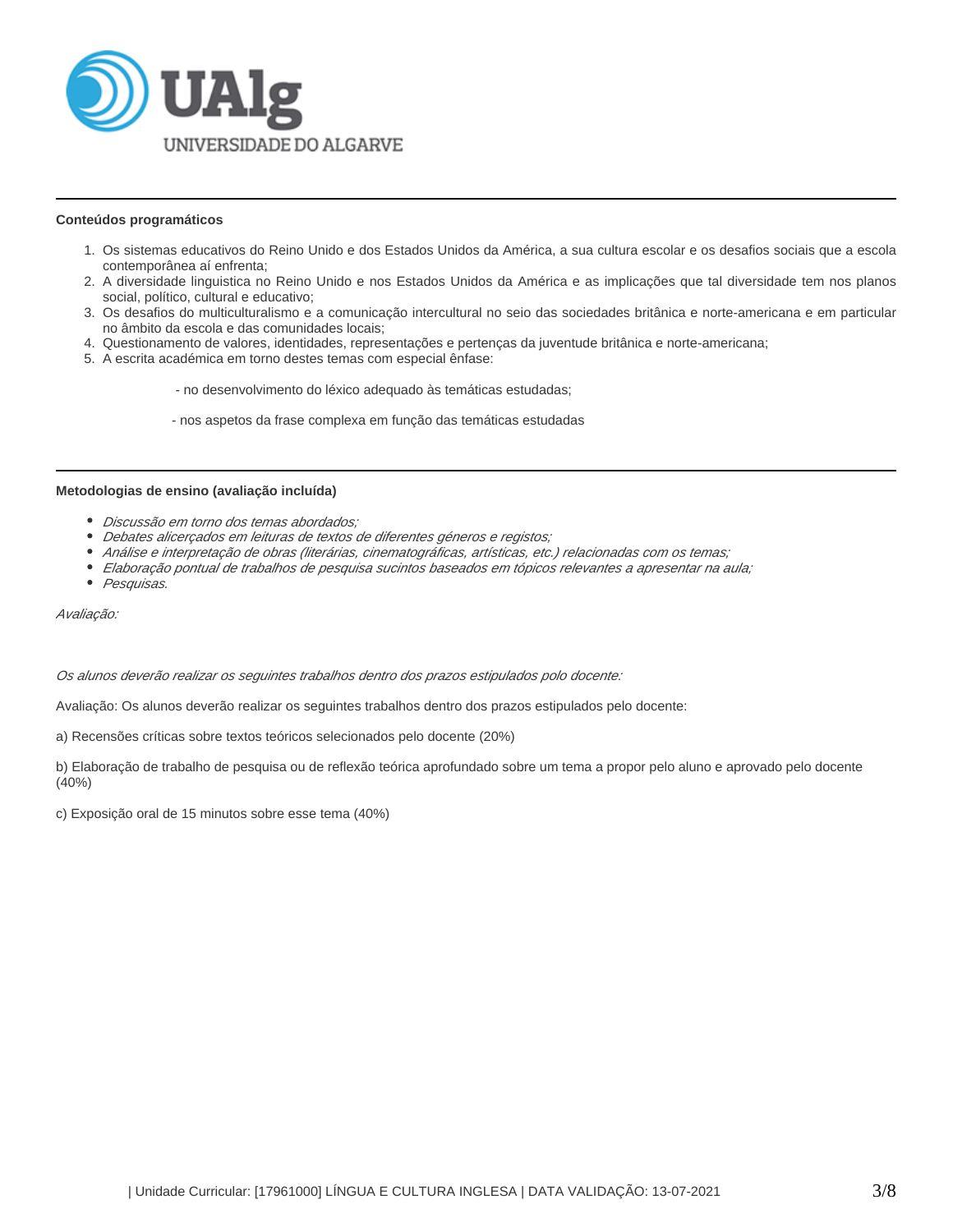

### **Conteúdos programáticos**

- 1. Os sistemas educativos do Reino Unido e dos Estados Unidos da América, a sua cultura escolar e os desafios sociais que a escola contemporânea aí enfrenta;
- 2. A diversidade linguistica no Reino Unido e nos Estados Unidos da América e as implicações que tal diversidade tem nos planos social, político, cultural e educativo;
- 3. Os desafios do multiculturalismo e a comunicação intercultural no seio das sociedades britânica e norte-americana e em particular no âmbito da escola e das comunidades locais;
- 4. Questionamento de valores, identidades, representações e pertenças da juventude britânica e norte-americana;
- 5. A escrita académica em torno destes temas com especial ênfase:
	- no desenvolvimento do léxico adequado às temáticas estudadas;
	- nos aspetos da frase complexa em função das temáticas estudadas

#### **Metodologias de ensino (avaliação incluída)**

- Discussão em torno dos temas abordados;
- Debates alicerçados em leituras de textos de diferentes géneros e registos;
- Análise e interpretação de obras (literárias, cinematográficas, artísticas, etc.) relacionadas com os temas;
- Elaboração pontual de trabalhos de pesquisa sucintos baseados em tópicos relevantes a apresentar na aula;
- Pesquisas.

Avaliação:

Os alunos deverão realizar os seguintes trabalhos dentro dos prazos estipulados polo docente:

Avaliação: Os alunos deverão realizar os seguintes trabalhos dentro dos prazos estipulados pelo docente:

a) Recensões críticas sobre textos teóricos selecionados pelo docente (20%)

b) Elaboração de trabalho de pesquisa ou de reflexão teórica aprofundado sobre um tema a propor pelo aluno e aprovado pelo docente (40%)

c) Exposição oral de 15 minutos sobre esse tema (40%)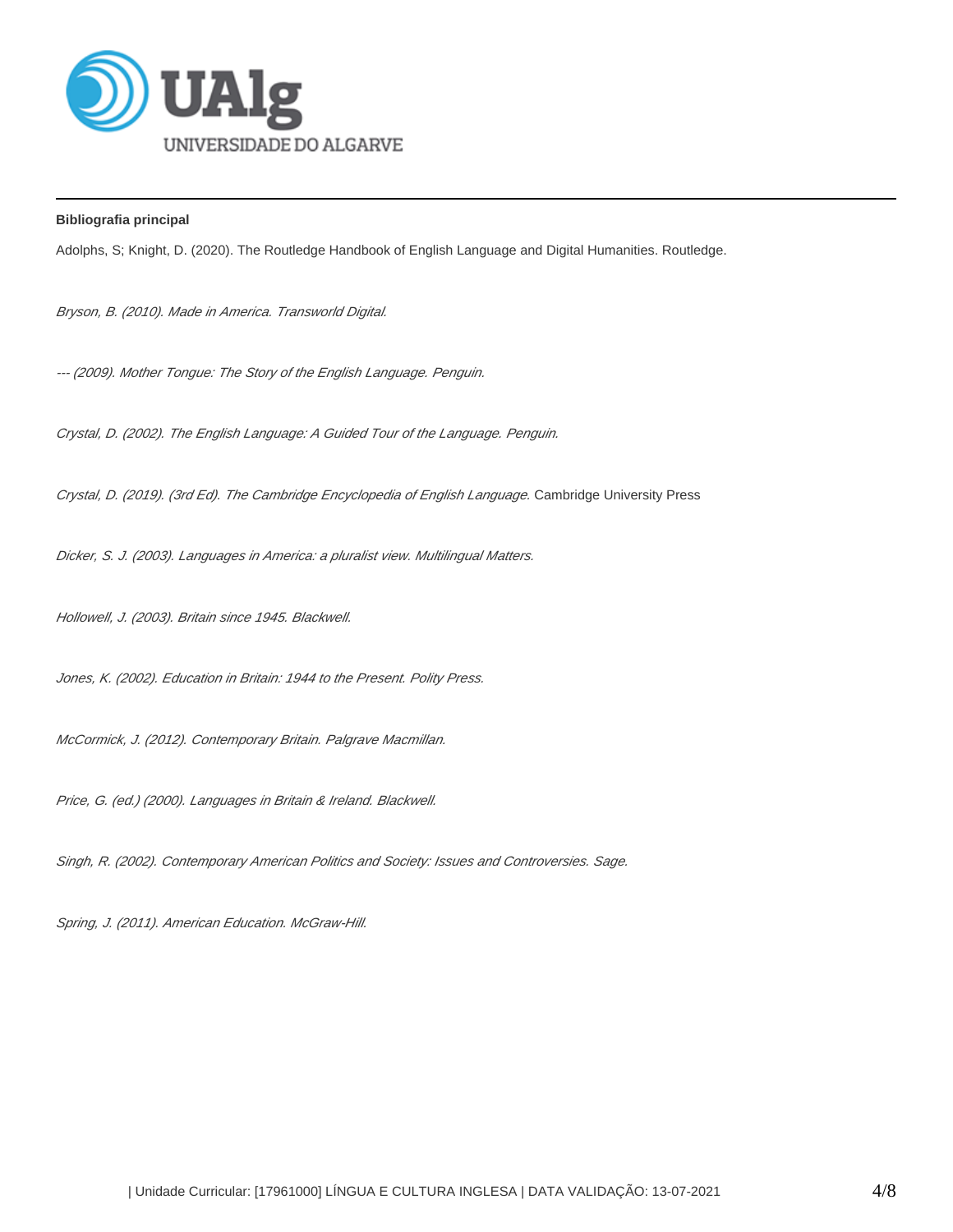

**Bibliografia principal**

Adolphs, S; Knight, D. (2020). The Routledge Handbook of English Language and Digital Humanities. Routledge.

Bryson, B. (2010). Made in America. Transworld Digital.

--- (2009). Mother Tongue: The Story of the English Language. Penguin.

Crystal, D. (2002). The English Language: A Guided Tour of the Language. Penguin.

Crystal, D. (2019). (3rd Ed). The Cambridge Encyclopedia of English Language. Cambridge University Press

Dicker, S. J. (2003). Languages in America: a pluralist view. Multilingual Matters.

Hollowell, J. (2003). Britain since 1945. Blackwell.

Jones, K. (2002). Education in Britain: 1944 to the Present. Polity Press.

McCormick, J. (2012). Contemporary Britain. Palgrave Macmillan.

Price, G. (ed.) (2000). Languages in Britain & Ireland. Blackwell.

Singh, R. (2002). Contemporary American Politics and Society: Issues and Controversies. Sage.

Spring, J. (2011). American Education. McGraw-Hill.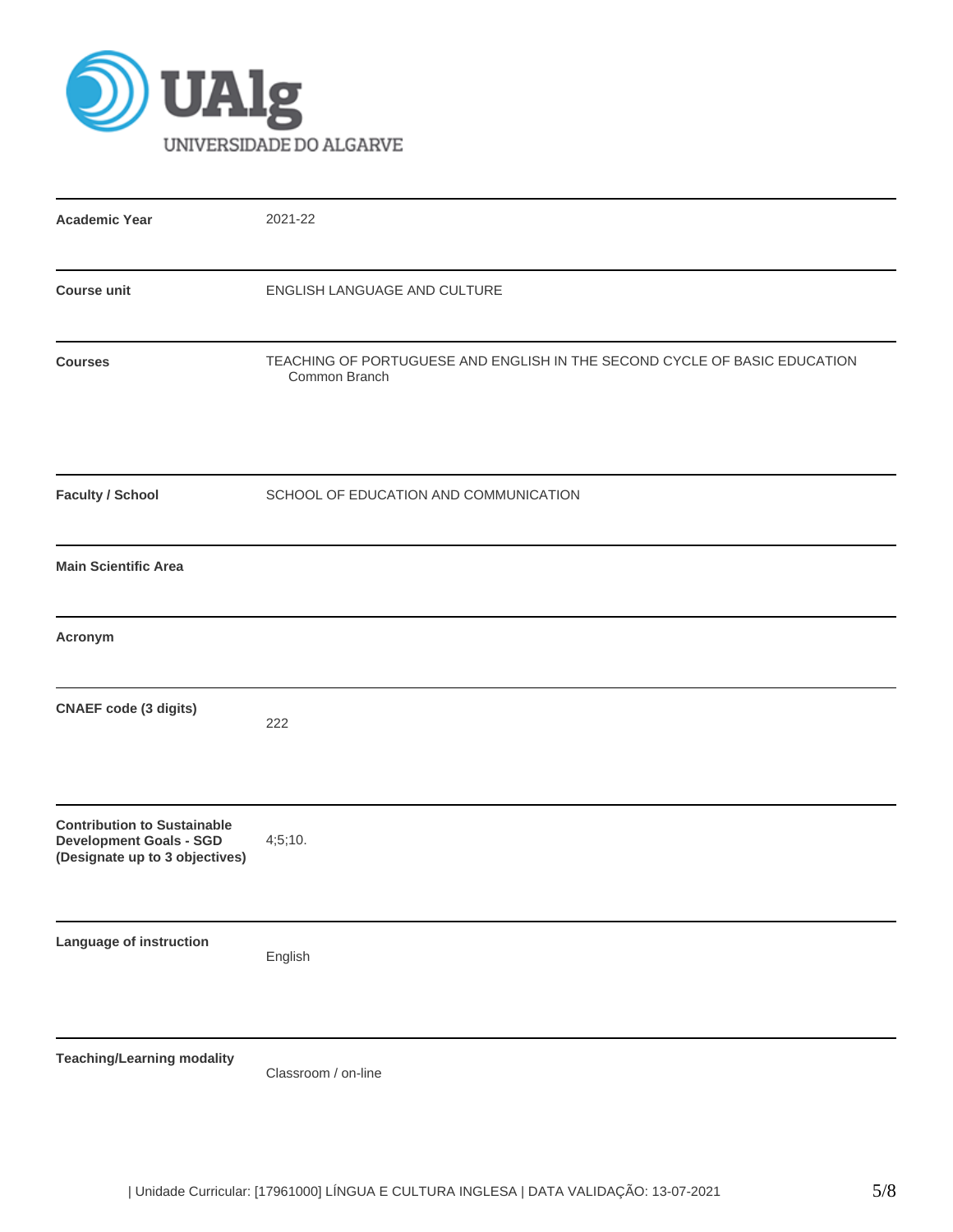

| <b>Academic Year</b>                                                                                   | 2021-22                                                                                    |
|--------------------------------------------------------------------------------------------------------|--------------------------------------------------------------------------------------------|
| <b>Course unit</b>                                                                                     | ENGLISH LANGUAGE AND CULTURE                                                               |
| <b>Courses</b>                                                                                         | TEACHING OF PORTUGUESE AND ENGLISH IN THE SECOND CYCLE OF BASIC EDUCATION<br>Common Branch |
| <b>Faculty / School</b>                                                                                | SCHOOL OF EDUCATION AND COMMUNICATION                                                      |
| <b>Main Scientific Area</b>                                                                            |                                                                                            |
| Acronym                                                                                                |                                                                                            |
| <b>CNAEF</b> code (3 digits)                                                                           | 222                                                                                        |
| <b>Contribution to Sustainable</b><br><b>Development Goals - SGD</b><br>(Designate up to 3 objectives) | 4;5;10.                                                                                    |
| Language of instruction                                                                                | English                                                                                    |
| <b>Teaching/Learning modality</b>                                                                      | Classroom / on-line                                                                        |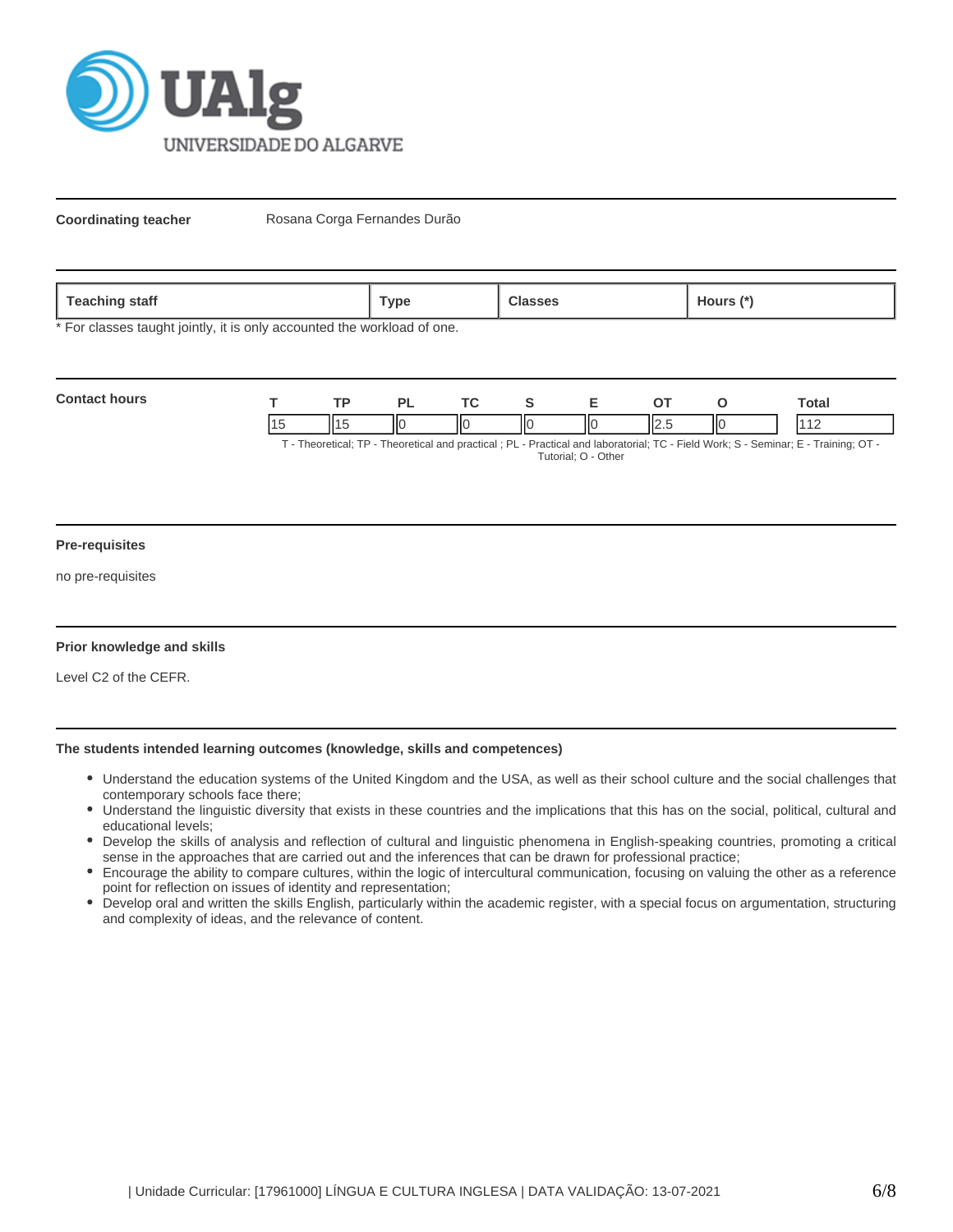

**Coordinating teacher** Rosana Corga Fernandes Durão

\* For classes taught jointly, it is only accounted the workload of one.

| <b>Contact hours</b> | TD. |    |    |    |       |     | `otal                                                                                                                        |
|----------------------|-----|----|----|----|-------|-----|------------------------------------------------------------------------------------------------------------------------------|
|                      |     | ١К | ΙЮ | ШC | II2.5 | IІC |                                                                                                                              |
|                      |     |    |    |    |       |     | T. Theoretical: TD. Theoretical and propried : DI. Droptical and laboraterial: TO. Field Warler C. Comings: E. Training: OT. |

T - Theoretical; TP - Theoretical and practical ; PL - Practical and laboratorial; TC - Field Work; S - Seminar; E - Training; OT - Tutorial; O - Other

#### **Pre-requisites**

no pre-requisites

# **Prior knowledge and skills**

Level C2 of the CEFR.

# **The students intended learning outcomes (knowledge, skills and competences)**

- Understand the education systems of the United Kingdom and the USA, as well as their school culture and the social challenges that contemporary schools face there;
- Understand the linguistic diversity that exists in these countries and the implications that this has on the social, political, cultural and educational levels;
- Develop the skills of analysis and reflection of cultural and linguistic phenomena in English-speaking countries, promoting a critical sense in the approaches that are carried out and the inferences that can be drawn for professional practice;
- Encourage the ability to compare cultures, within the logic of intercultural communication, focusing on valuing the other as a reference point for reflection on issues of identity and representation;
- Develop oral and written the skills English, particularly within the academic register, with a special focus on argumentation, structuring and complexity of ideas, and the relevance of content.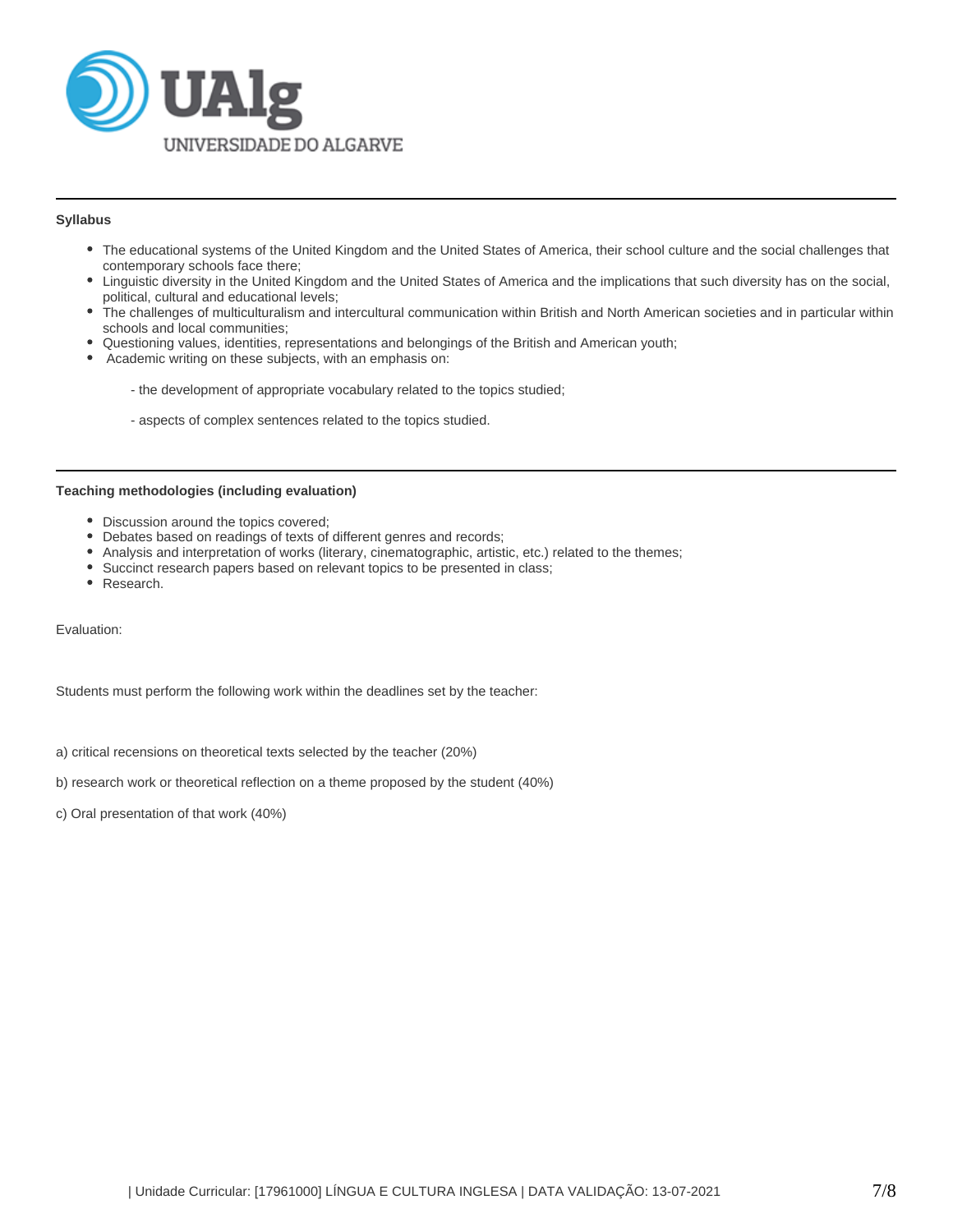

# **Syllabus**

- The educational systems of the United Kingdom and the United States of America, their school culture and the social challenges that contemporary schools face there;
- Linguistic diversity in the United Kingdom and the United States of America and the implications that such diversity has on the social, political, cultural and educational levels;
- The challenges of multiculturalism and intercultural communication within British and North American societies and in particular within schools and local communities;
- Questioning values, identities, representations and belongings of the British and American youth;
- Academic writing on these subjects, with an emphasis on:
	- the development of appropriate vocabulary related to the topics studied;
	- aspects of complex sentences related to the topics studied.

#### **Teaching methodologies (including evaluation)**

- Discussion around the topics covered;
- Debates based on readings of texts of different genres and records;
- Analysis and interpretation of works (literary, cinematographic, artistic, etc.) related to the themes;
- Succinct research papers based on relevant topics to be presented in class;
- Research.

Evaluation:

Students must perform the following work within the deadlines set by the teacher:

a) critical recensions on theoretical texts selected by the teacher (20%)

b) research work or theoretical reflection on a theme proposed by the student (40%)

c) Oral presentation of that work (40%)